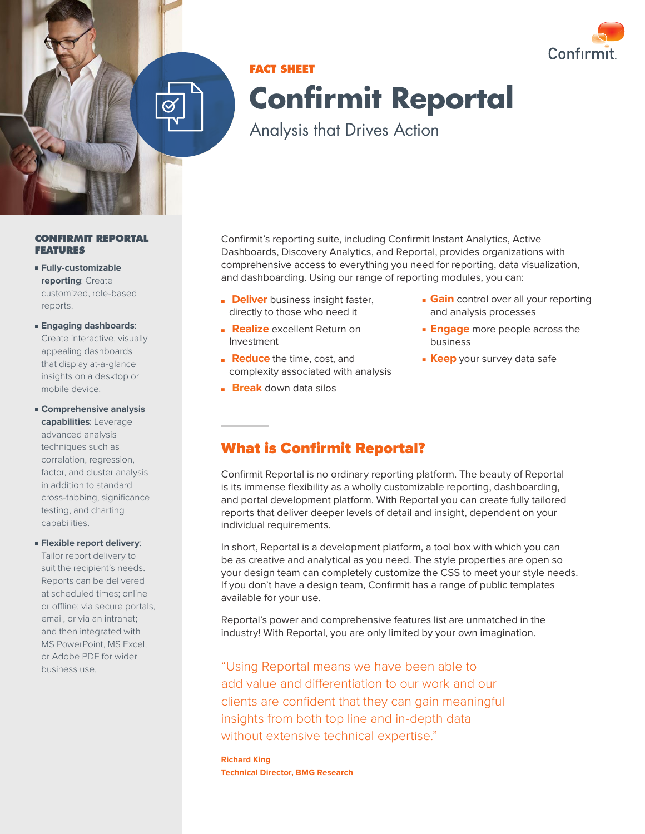

# **FACT SHEET Confirmit Reportal**

Analysis that Drives Action

**CONFIRMIT REPORTAL FEATURES**

- **Fully-customizable reporting**: Create customized, role-based reports.
- **Engaging dashboards**: Create interactive, visually appealing dashboards that display at-a-glance insights on a desktop or mobile device.
- **Comprehensive analysis capabilities**: Leverage advanced analysis techniques such as correlation, regression, factor, and cluster analysis in addition to standard cross-tabbing, significance testing, and charting capabilities.
- **Flexible report delivery**:

Tailor report delivery to suit the recipient's needs. Reports can be delivered at scheduled times; online or offline; via secure portals, email, or via an intranet; and then integrated with MS PowerPoint, MS Excel, or Adobe PDF for wider business use.

Confirmit's reporting suite, including Confirmit Instant Analytics, Active Dashboards, Discovery Analytics, and Reportal, provides organizations with comprehensive access to everything you need for reporting, data visualization, and dashboarding. Using our range of reporting modules, you can:

- **Deliver** business insight faster, directly to those who need it
- **Realize** excellent Return on Investment
- **Reduce** the time, cost, and complexity associated with analysis
- **Break** down data silos
- **Gain** control over all your reporting and analysis processes
- **Engage** more people across the business
- **Keep** your survey data safe

# What is Confirmit Reportal?

Confirmit Reportal is no ordinary reporting platform. The beauty of Reportal is its immense flexibility as a wholly customizable reporting, dashboarding, and portal development platform. With Reportal you can create fully tailored reports that deliver deeper levels of detail and insight, dependent on your individual requirements.

In short, Reportal is a development platform, a tool box with which you can be as creative and analytical as you need. The style properties are open so your design team can completely customize the CSS to meet your style needs. If you don't have a design team, Confirmit has a range of public templates available for your use.

Reportal's power and comprehensive features list are unmatched in the industry! With Reportal, you are only limited by your own imagination.

"Using Reportal means we have been able to add value and differentiation to our work and our clients are confident that they can gain meaningful insights from both top line and in-depth data without extensive technical expertise."

**Richard King Technical Director, BMG Research**

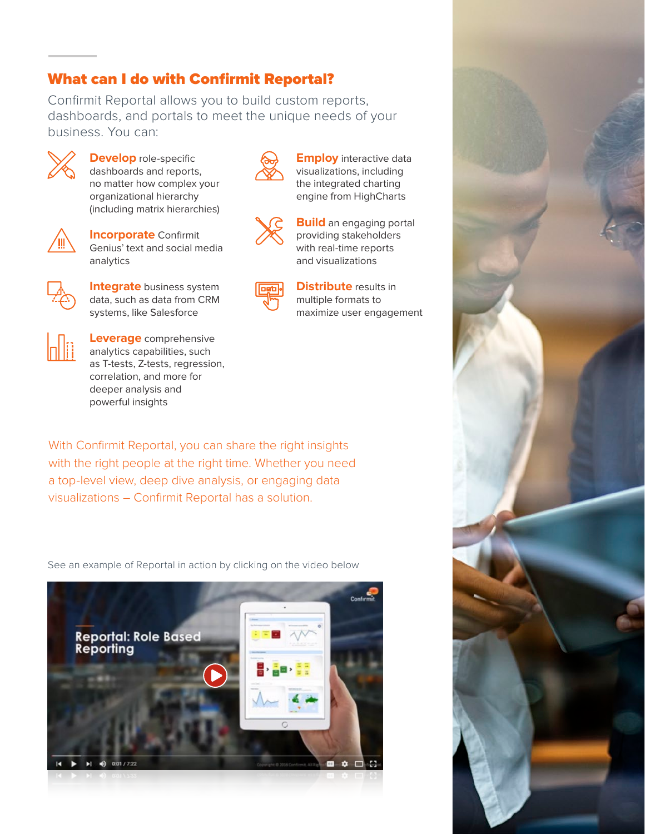## What can I do with Confirmit Reportal?

Confirmit Reportal allows you to build custom reports, dashboards, and portals to meet the unique needs of your business. You can:

> **Employ** interactive data visualizations, including the integrated charting engine from HighCharts

**Build** an engaging portal providing stakeholders with real-time reports and visualizations

**Distribute** results in multiple formats to

maximize user engagement



**Develop** role-specific dashboards and reports, no matter how complex your organizational hierarchy (including matrix hierarchies)



**Incorporate** Confirmit Genius' text and social media analytics



**Integrate** business system data, such as data from CRM systems, like Salesforce



**Leverage** comprehensive analytics capabilities, such as T-tests, Z-tests, regression, correlation, and more for deeper analysis and powerful insights

With Confirmit Reportal, you can share the right insights with the right people at the right time. Whether you need a top-level view, deep dive analysis, or engaging data visualizations – Confirmit Reportal has a solution.

See an example of Reportal in action by clicking on the video below



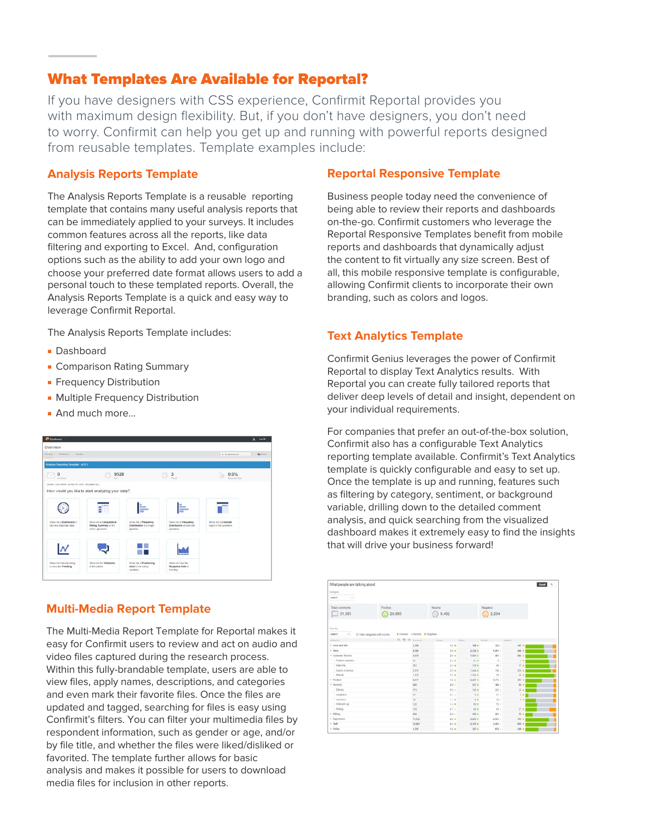## What Templates Are Available for Reportal?

If you have designers with CSS experience, Confirmit Reportal provides you with maximum design flexibility. But, if you don't have designers, you don't need to worry. Confirmit can help you get up and running with powerful reports designed from reusable templates. Template examples include:

#### **Analysis Reports Template**

The Analysis Reports Template is a reusable reporting template that contains many useful analysis reports that can be immediately applied to your surveys. It includes common features across all the reports, like data filtering and exporting to Excel. And, configuration options such as the ability to add your own logo and choose your preferred date format allows users to add a personal touch to these templated reports. Overall, the Analysis Reports Template is a quick and easy way to leverage Confirmit Reportal.

The Analysis Reports Template includes:

- Dashboard
- Comparison Rating Summary
- **Frequency Distribution**
- Multiple Frequency Distribution
- And much more…



## **Multi-Media Report Template**

The Multi-Media Report Template for Reportal makes it easy for Confirmit users to review and act on audio and video files captured during the research process. Within this fully-brandable template, users are able to view files, apply names, descriptions, and categories and even mark their favorite files. Once the files are updated and tagged, searching for files is easy using Confirmit's filters. You can filter your multimedia files by respondent information, such as gender or age, and/or by file title, and whether the files were liked/disliked or favorited. The template further allows for basic analysis and makes it possible for users to download media files for inclusion in other reports.

## **Reportal Responsive Template**

Business people today need the convenience of being able to review their reports and dashboards on-the-go. Confirmit customers who leverage the Reportal Responsive Templates benefit from mobile reports and dashboards that dynamically adjust the content to fit virtually any size screen. Best of all, this mobile responsive template is configurable, allowing Confirmit clients to incorporate their own branding, such as colors and logos.

## **Text Analytics Template**

Confirmit Genius leverages the power of Confirmit Reportal to display Text Analytics results. With Reportal you can create fully tailored reports that deliver deep levels of detail and insight, dependent on your individual requirements.

For companies that prefer an out-of-the-box solution, Confirmit also has a configurable Text Analytics reporting template available. Confirmit's Text Analytics template is quickly configurable and easy to set up. Once the template is up and running, features such as filtering by category, sentiment, or background variable, drilling down to the detailed comment analysis, and quick searching from the visualized dashboard makes it extremely easy to find the insights that will drive your business forward!

| What people are talking about<br>Category<br>callect- |                                 |                                                                             |                       |                      |                        |                  | Court<br>$\sim$ |
|-------------------------------------------------------|---------------------------------|-----------------------------------------------------------------------------|-----------------------|----------------------|------------------------|------------------|-----------------|
| Total comments<br>31.301                              | Positive<br>20,695<br>Œ         |                                                                             | Neutral<br>8,402<br>o |                      | Negative<br>2.204<br>œ |                  |                 |
| View by:<br>neket.<br>$\sim$ 1<br><b>Geograph</b>     | of rode categories with no hits | <b>A</b> Positive in Neutral <b>B</b> Negative<br>$0, \frac{m}{2}$ if there | American              | Posted               | <b>Policie</b>         | <b>Hopma</b>     |                 |
| + Lock and feel                                       |                                 | 1,190                                                                       | $1.7 -$               | $708 -$              | $335 -$                | $147 -$          |                 |
| 1 Stone                                               |                                 |                                                                             |                       |                      |                        |                  |                 |
| · Cantoner Service                                    |                                 | 4, 585                                                                      | $1.3 - 0.0$           | 2,536 ±              | $9.401 -$              | $243 - 4$        |                 |
| - Federal marketer                                    |                                 | 2.612                                                                       | $2.5 -$               | 1,863 +              | $483 -$                | $268 -$          |                 |
|                                                       |                                 | $\pm 1$                                                                     | $23 +$                | $31 +$               | $\mathbb{Y}$           | 1.8              |                 |
| - Vial line                                           |                                 | 261                                                                         | $24 +$                | $218 - 4$            | $46 -$                 | $17 - 4$         |                 |
| in Quality of service<br>- Atitude                    |                                 | 2.016                                                                       | $23 +$                | <b>TEST *</b>        | 136 -                  | $236 +$          |                 |
| 1 Product                                             |                                 | 1.638<br><b>ARST</b>                                                        | $37 +$                | 1,564 ±<br>$2.467 +$ | $10 -$<br>$9.795 -$    | $26 - 10$        |                 |
| 4 Services                                            |                                 |                                                                             | 1.4 m                 |                      |                        | 395 m            |                 |
| - Delivery                                            |                                 | 643                                                                         | $45 -$                | $237 - 4$            | $340 -$                | 65 w 1           |                 |
|                                                       |                                 | 373                                                                         | $0.9 -$               | $105 -$              | 20 +                   | $36 - 1$         |                 |
| - Installation                                        |                                 | 24                                                                          | 61 =                  | $3 +$                | $37 -$                 | $2 + 1$          |                 |
| : Insurance                                           |                                 | ÷                                                                           | 11+                   | 6.8                  | $10 -$                 | 2.8              |                 |
| - Than pick up                                        |                                 | 122<br>. .                                                                  | $1.2 - 0.1$<br>$87 -$ | 41.91                | 76.4                   |                  |                 |
| : Faling                                              |                                 | 120                                                                         |                       | 84.4                 | $45 -$                 | 27.8             |                 |
| 1 Silling                                             |                                 | 436                                                                         | $0.4 -$               | $816 -$              | 261.1                  | $50 - 6$         |                 |
| + Experience                                          |                                 | 11,612                                                                      | $2.5 - 1$             | $0.823 -$            | $2.022 -$              | $766 +$          |                 |
|                                                       |                                 | 12,807                                                                      | $2.3 - 4$             | 6,703 ±              | $3.405 -$              | 439.4            |                 |
| + South<br>+ Policy                                   |                                 | 1,747                                                                       | $1.2 - 0.1$           | $727 -$              | $872 -$                | 148 <sub>0</sub> |                 |